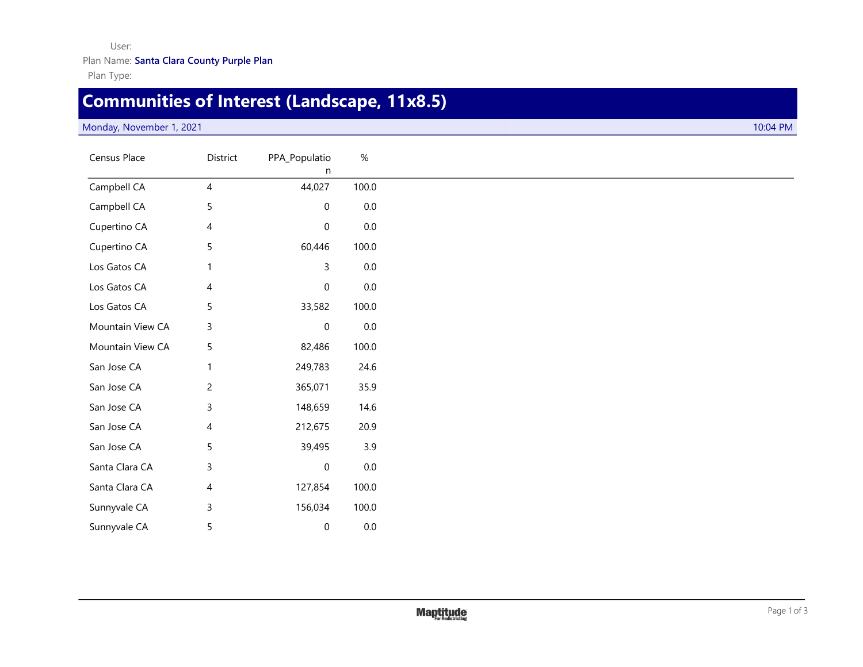## User: Plan Name: **Santa Clara County Purple Plan**

Plan Type:

## **Communities of Interest (Landscape, 11x8.5)**

## Monday, November 1, 2021 10:04 PM

| Census Place     | District       | PPA_Populatio<br>n | $\%$    |
|------------------|----------------|--------------------|---------|
| Campbell CA      | 4              | 44,027             | 100.0   |
| Campbell CA      | 5              | $\boldsymbol{0}$   | $0.0\,$ |
| Cupertino CA     | $\overline{4}$ | $\pmb{0}$          | $0.0\,$ |
| Cupertino CA     | 5              | 60,446             | 100.0   |
| Los Gatos CA     | 1              | 3                  | $0.0\,$ |
| Los Gatos CA     | 4              | $\boldsymbol{0}$   | $0.0\,$ |
| Los Gatos CA     | 5              | 33,582             | 100.0   |
| Mountain View CA | $\mathsf{3}$   | $\boldsymbol{0}$   | $0.0\,$ |
| Mountain View CA | 5              | 82,486             | 100.0   |
| San Jose CA      | $\mathbf{1}$   | 249,783            | 24.6    |
| San Jose CA      | $\overline{c}$ | 365,071            | 35.9    |
| San Jose CA      | $\mathsf{3}$   | 148,659            | 14.6    |
| San Jose CA      | 4              | 212,675            | 20.9    |
| San Jose CA      | 5              | 39,495             | 3.9     |
| Santa Clara CA   | $\mathsf{3}$   | $\boldsymbol{0}$   | $0.0\,$ |
| Santa Clara CA   | 4              | 127,854            | 100.0   |
| Sunnyvale CA     | $\mathsf 3$    | 156,034            | 100.0   |
| Sunnyvale CA     | 5              | $\mathbf 0$        | $0.0\,$ |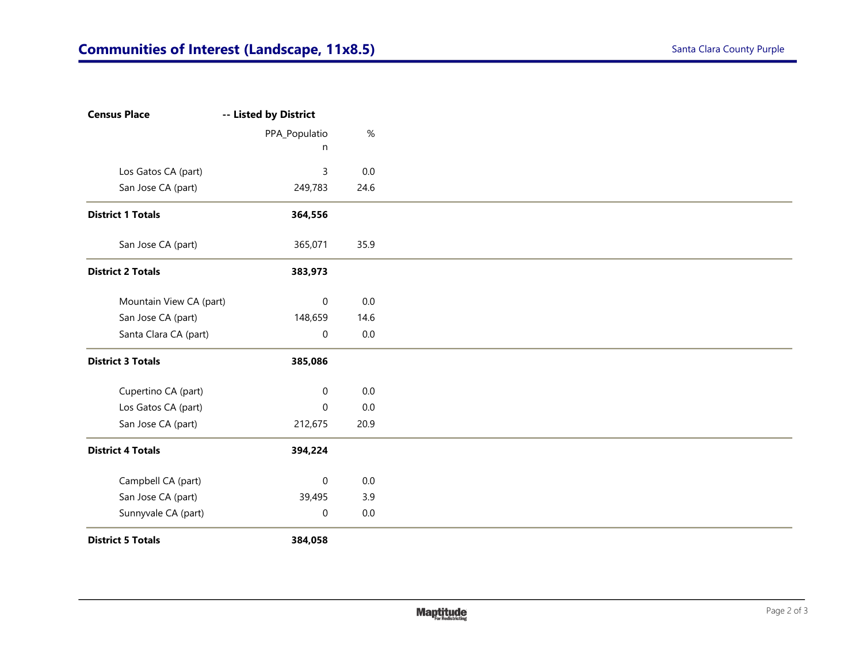Plan

| <b>Census Place</b>      | -- Listed by District |         |
|--------------------------|-----------------------|---------|
|                          | PPA_Populatio         | $\%$    |
|                          | n                     |         |
| Los Gatos CA (part)      | $\mathsf 3$           | $0.0\,$ |
| San Jose CA (part)       | 249,783               | 24.6    |
| <b>District 1 Totals</b> | 364,556               |         |
| San Jose CA (part)       | 365,071               | 35.9    |
| <b>District 2 Totals</b> | 383,973               |         |
| Mountain View CA (part)  | $\mathsf{O}\xspace$   | $0.0\,$ |
| San Jose CA (part)       | 148,659               | 14.6    |
| Santa Clara CA (part)    | 0                     | $0.0\,$ |
| <b>District 3 Totals</b> | 385,086               |         |
| Cupertino CA (part)      | 0                     | 0.0     |
| Los Gatos CA (part)      | $\mathbf 0$           | $0.0\,$ |
| San Jose CA (part)       | 212,675               | 20.9    |
| <b>District 4 Totals</b> | 394,224               |         |
| Campbell CA (part)       | $\boldsymbol{0}$      | $0.0\,$ |
| San Jose CA (part)       | 39,495                | 3.9     |
| Sunnyvale CA (part)      | $\pmb{0}$             | $0.0\,$ |
| <b>District 5 Totals</b> | 384,058               |         |